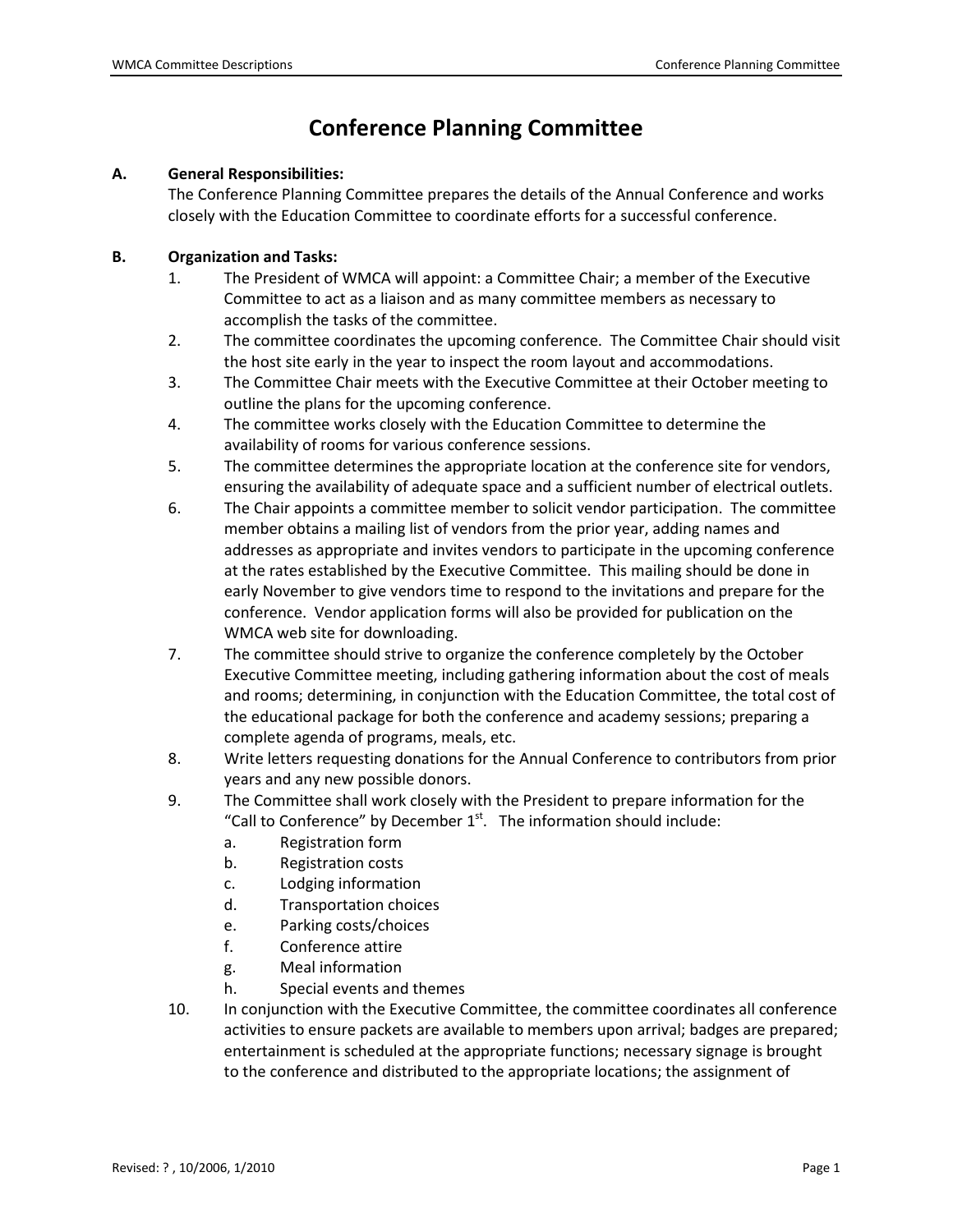## **Conference Planning Committee**

## **A. General Responsibilities:**

The Conference Planning Committee prepares the details of the Annual Conference and works closely with the Education Committee to coordinate efforts for a successful conference.

## **B. Organization and Tasks:**

- 1. The President of WMCA will appoint: a Committee Chair; a member of the Executive Committee to act as a liaison and as many committee members as necessary to accomplish the tasks of the committee.
- 2. The committee coordinates the upcoming conference. The Committee Chair should visit the host site early in the year to inspect the room layout and accommodations.
- 3. The Committee Chair meets with the Executive Committee at their October meeting to outline the plans for the upcoming conference.
- 4. The committee works closely with the Education Committee to determine the availability of rooms for various conference sessions.
- 5. The committee determines the appropriate location at the conference site for vendors, ensuring the availability of adequate space and a sufficient number of electrical outlets.
- 6. The Chair appoints a committee member to solicit vendor participation. The committee member obtains a mailing list of vendors from the prior year, adding names and addresses as appropriate and invites vendors to participate in the upcoming conference at the rates established by the Executive Committee. This mailing should be done in early November to give vendors time to respond to the invitations and prepare for the conference. Vendor application forms will also be provided for publication on the WMCA web site for downloading.
- 7. The committee should strive to organize the conference completely by the October Executive Committee meeting, including gathering information about the cost of meals and rooms; determining, in conjunction with the Education Committee, the total cost of the educational package for both the conference and academy sessions; preparing a complete agenda of programs, meals, etc.
- 8. Write letters requesting donations for the Annual Conference to contributors from prior years and any new possible donors.
- 9. The Committee shall work closely with the President to prepare information for the "Call to Conference" by December  $1<sup>st</sup>$ . The information should include:
	- a. Registration form
	- b. Registration costs
	- c. Lodging information
	- d. Transportation choices
	- e. Parking costs/choices
	- f. Conference attire
	- g. Meal information
	- h. Special events and themes
- 10. In conjunction with the Executive Committee, the committee coordinates all conference activities to ensure packets are available to members upon arrival; badges are prepared; entertainment is scheduled at the appropriate functions; necessary signage is brought to the conference and distributed to the appropriate locations; the assignment of